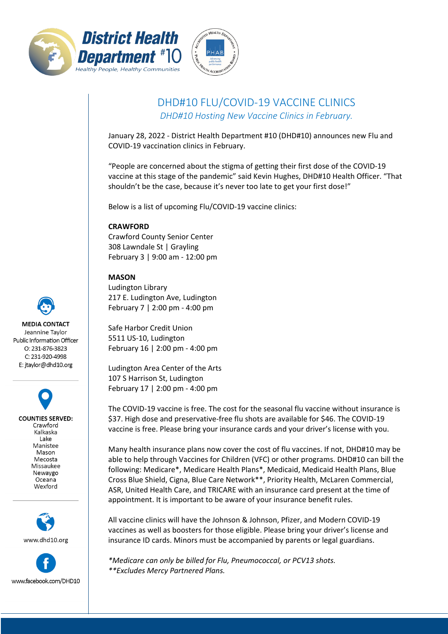



## DHD#10 FLU/COVID-19 VACCINE CLINICS

*DHD#10 Hosting New Vaccine Clinics in February.*

January 28, 2022 - District Health Department #10 (DHD#10) announces new Flu and COVID-19 vaccination clinics in February.

"People are concerned about the stigma of getting their first dose of the COVID-19 vaccine at this stage of the pandemic" said Kevin Hughes, DHD#10 Health Officer. "That shouldn't be the case, because it's never too late to get your first dose!"

Below is a list of upcoming Flu/COVID-19 vaccine clinics:

## **CRAWFORD**

Crawford County Senior Center 308 Lawndale St | Grayling February 3 | 9:00 am - 12:00 pm

## **MASON**

Ludington Library 217 E. Ludington Ave, Ludington February 7 | 2:00 pm - 4:00 pm

Safe Harbor Credit Union 5511 US-10, Ludington February 16 | 2:00 pm - 4:00 pm

Ludington Area Center of the Arts 107 S Harrison St, Ludington February 17 | 2:00 pm - 4:00 pm

The COVID-19 vaccine is free. The cost for the seasonal flu vaccine without insurance is \$37. High dose and preservative-free flu shots are available for \$46. The COVID-19 vaccine is free. Please bring your insurance cards and your driver's license with you.

Many health insurance plans now cover the cost of flu vaccines. If not, DHD#10 may be able to help through Vaccines for Children (VFC) or other programs. DHD#10 can bill the following: Medicare\*, Medicare Health Plans\*, Medicaid, Medicaid Health Plans, Blue Cross Blue Shield, Cigna, Blue Care Network\*\*, Priority Health, McLaren Commercial, ASR, United Health Care, and TRICARE with an insurance card present at the time of appointment. It is important to be aware of your insurance benefit rules.

All vaccine clinics will have the Johnson & Johnson, Pfizer, and Modern COVID-19 vaccines as well as boosters for those eligible. Please bring your driver's license and insurance ID cards. Minors must be accompanied by parents or legal guardians.

www.facebook.com/DHD10

*\*Medicare can only be billed for Flu, Pneumococcal, or PCV13 shots. \*\*Excludes Mercy Partnered Plans.*



E: jtaylor@dhd10.org

**COUNTIES SERVED:** Crawford Kalkaska Lake Manistee Mason Mecosta Missaukee Newaygo Oceana Wexford